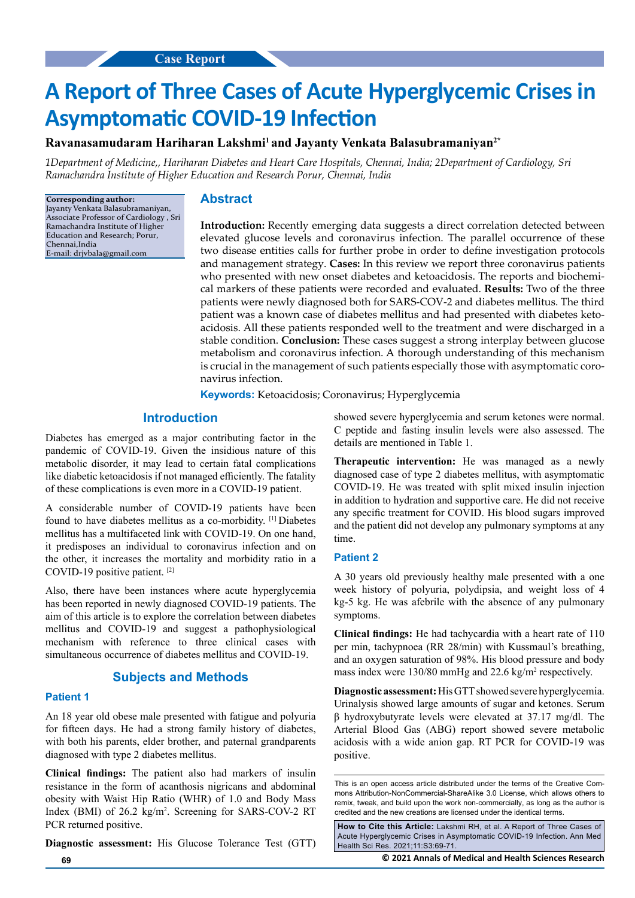# **A Report of Three Cases of Acute Hyperglycemic Crises in Asymptomatic COVID-19 Infection**

**Ravanasamudaram Hariharan Lakshmi1 and Jayanty Venkata Balasubramaniyan2\***

*1Department of Medicine,, Hariharan Diabetes and Heart Care Hospitals, Chennai, India; 2Department of Cardiology, Sri Ramachandra Institute of Higher Education and Research Porur, Chennai, India*

**Corresponding author:** Jayanty Venkata Balasubramaniyan, Associate Professor of Cardiology , Sri Ramachandra Institute of Higher Education and Research; Porur, Chennai,India E-mail: drjvbala@gmail.com

## **Abstract**

**Introduction:** Recently emerging data suggests a direct correlation detected between elevated glucose levels and coronavirus infection. The parallel occurrence of these two disease entities calls for further probe in order to define investigation protocols and management strategy. **Cases:** In this review we report three coronavirus patients who presented with new onset diabetes and ketoacidosis. The reports and biochemical markers of these patients were recorded and evaluated. **Results:** Two of the three patients were newly diagnosed both for SARS-COV-2 and diabetes mellitus. The third patient was a known case of diabetes mellitus and had presented with diabetes ketoacidosis. All these patients responded well to the treatment and were discharged in a stable condition. **Conclusion:** These cases suggest a strong interplay between glucose metabolism and coronavirus infection. A thorough understanding of this mechanism is crucial in the management of such patients especially those with asymptomatic coronavirus infection.

**Keywords:** Ketoacidosis; Coronavirus; Hyperglycemia

# **Introduction**

Diabetes has emerged as a major contributing factor in the pandemic of COVID-19. Given the insidious nature of this metabolic disorder, it may lead to certain fatal complications like diabetic ketoacidosis if not managed efficiently. The fatality of these complications is even more in a COVID-19 patient.

A considerable number of COVID-19 patients have been found to have diabetes mellitus as a co-morbidity. [1] Diabetes mellitus has a multifaceted link with COVID-19. On one hand, it predisposes an individual to coronavirus infection and on the other, it increases the mortality and morbidity ratio in a COVID-19 positive patient. [2]

Also, there have been instances where acute hyperglycemia has been reported in newly diagnosed COVID-19 patients. The aim of this article is to explore the correlation between diabetes mellitus and COVID-19 and suggest a pathophysiological mechanism with reference to three clinical cases with simultaneous occurrence of diabetes mellitus and COVID-19.

# **Subjects and Methods**

#### **Patient 1**

An 18 year old obese male presented with fatigue and polyuria for fifteen days. He had a strong family history of diabetes, with both his parents, elder brother, and paternal grandparents diagnosed with type 2 diabetes mellitus.

**Clinical findings:** The patient also had markers of insulin resistance in the form of acanthosis nigricans and abdominal obesity with Waist Hip Ratio (WHR) of 1.0 and Body Mass Index (BMI) of 26.2 kg/m<sup>2</sup>. Screening for SARS-COV-2 RT PCR returned positive.

**Diagnostic assessment:** His Glucose Tolerance Test (GTT)

showed severe hyperglycemia and serum ketones were normal. C peptide and fasting insulin levels were also assessed. The details are mentioned in Table 1.

**Therapeutic intervention:** He was managed as a newly diagnosed case of type 2 diabetes mellitus, with asymptomatic COVID-19. He was treated with split mixed insulin injection in addition to hydration and supportive care. He did not receive any specific treatment for COVID. His blood sugars improved and the patient did not develop any pulmonary symptoms at any time.

#### **Patient 2**

A 30 years old previously healthy male presented with a one week history of polyuria, polydipsia, and weight loss of 4 kg-5 kg. He was afebrile with the absence of any pulmonary symptoms.

**Clinical findings:** He had tachycardia with a heart rate of 110 per min, tachypnoea (RR 28/min) with Kussmaul's breathing, and an oxygen saturation of 98%. His blood pressure and body mass index were 130/80 mmHg and 22.6 kg/m<sup>2</sup> respectively.

**Diagnostic assessment:** His GTT showed severe hyperglycemia. Urinalysis showed large amounts of sugar and ketones. Serum β hydroxybutyrate levels were elevated at 37.17 mg/dl. The Arterial Blood Gas (ABG) report showed severe metabolic acidosis with a wide anion gap. RT PCR for COVID-19 was positive.

**How to Cite this Article:** Lakshmi RH, et al. A Report of Three Cases of Acute Hyperglycemic Crises in Asymptomatic COVID-19 Infection. Ann Med Health Sci Res. 2021;11:S3:69-71.

**69 © 2021 Annals of Medical and Health Sciences Research** 

This is an open access article distributed under the terms of the Creative Commons Attribution‑NonCommercial‑ShareAlike 3.0 License, which allows others to remix, tweak, and build upon the work non‑commercially, as long as the author is credited and the new creations are licensed under the identical terms.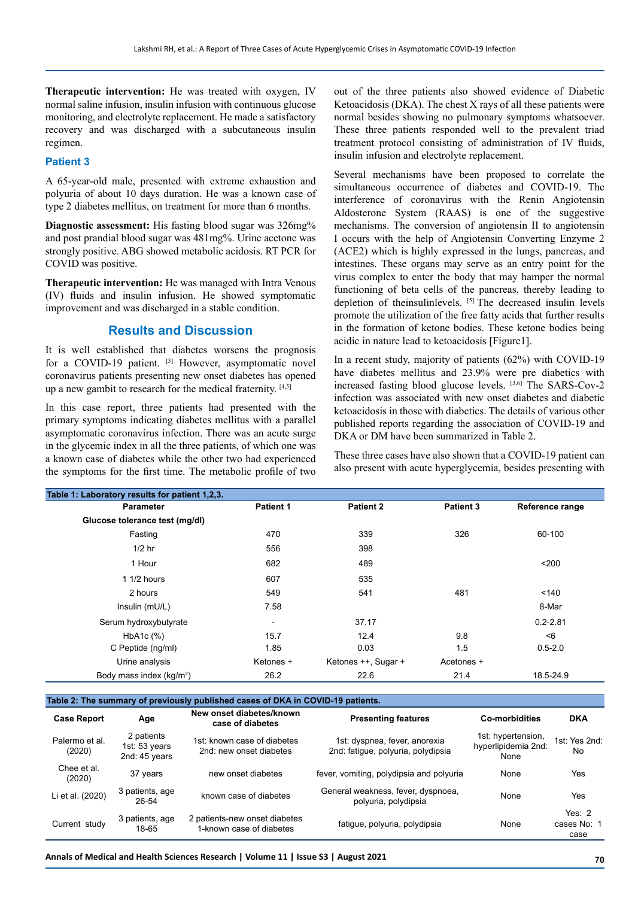**Therapeutic intervention:** He was treated with oxygen, IV normal saline infusion, insulin infusion with continuous glucose monitoring, and electrolyte replacement. He made a satisfactory recovery and was discharged with a subcutaneous insulin regimen.

### **Patient 3**

A 65-year-old male, presented with extreme exhaustion and polyuria of about 10 days duration. He was a known case of type 2 diabetes mellitus, on treatment for more than 6 months.

**Diagnostic assessment:** His fasting blood sugar was 326mg% and post prandial blood sugar was 481mg%. Urine acetone was strongly positive. ABG showed metabolic acidosis. RT PCR for COVID was positive.

**Therapeutic intervention:** He was managed with Intra Venous (IV) fluids and insulin infusion. He showed symptomatic improvement and was discharged in a stable condition.

# **Results and Discussion**

It is well established that diabetes worsens the prognosis for a COVID-19 patient. <sup>[3]</sup> However, asymptomatic novel coronavirus patients presenting new onset diabetes has opened up a new gambit to research for the medical fraternity. [4,5]

In this case report, three patients had presented with the primary symptoms indicating diabetes mellitus with a parallel asymptomatic coronavirus infection. There was an acute surge in the glycemic index in all the three patients, of which one was a known case of diabetes while the other two had experienced the symptoms for the first time. The metabolic profile of two out of the three patients also showed evidence of Diabetic Ketoacidosis (DKA). The chest X rays of all these patients were normal besides showing no pulmonary symptoms whatsoever. These three patients responded well to the prevalent triad treatment protocol consisting of administration of IV fluids, insulin infusion and electrolyte replacement.

Several mechanisms have been proposed to correlate the simultaneous occurrence of diabetes and COVID-19. The interference of coronavirus with the Renin Angiotensin Aldosterone System (RAAS) is one of the suggestive mechanisms. The conversion of angiotensin II to angiotensin I occurs with the help of Angiotensin Converting Enzyme 2 (ACE2) which is highly expressed in the lungs, pancreas, and intestines. These organs may serve as an entry point for the virus complex to enter the body that may hamper the normal functioning of beta cells of the pancreas, thereby leading to depletion of theinsulinlevels. [5] The decreased insulin levels promote the utilization of the free fatty acids that further results in the formation of ketone bodies. These ketone bodies being acidic in nature lead to ketoacidosis [Figure1].

In a recent study, majority of patients (62%) with COVID-19 have diabetes mellitus and 23.9% were pre diabetics with increased fasting blood glucose levels. [3,6] The SARS-Cov-2 infection was associated with new onset diabetes and diabetic ketoacidosis in those with diabetics. The details of various other published reports regarding the association of COVID-19 and DKA or DM have been summarized in Table 2.

These three cases have also shown that a COVID-19 patient can also present with acute hyperglycemia, besides presenting with

| Table 1: Laboratory results for patient 1,2,3. |                  |                     |                  |                 |  |  |  |  |
|------------------------------------------------|------------------|---------------------|------------------|-----------------|--|--|--|--|
| <b>Parameter</b>                               | <b>Patient 1</b> | <b>Patient 2</b>    | <b>Patient 3</b> | Reference range |  |  |  |  |
| Glucose tolerance test (mg/dl)                 |                  |                     |                  |                 |  |  |  |  |
| Fasting                                        | 470              | 339                 | 326              | 60-100          |  |  |  |  |
| $1/2$ hr                                       | 556              | 398                 |                  |                 |  |  |  |  |
| 1 Hour                                         | 682              | 489                 |                  | $200$           |  |  |  |  |
| $11/2$ hours                                   | 607              | 535                 |                  |                 |  |  |  |  |
| 2 hours                                        | 549              | 541                 | 481              | 140             |  |  |  |  |
| Insulin (mU/L)                                 | 7.58             |                     |                  | 8-Mar           |  |  |  |  |
| Serum hydroxybutyrate                          | -                | 37.17               |                  | $0.2 - 2.81$    |  |  |  |  |
| HbA1c (%)                                      | 15.7             | 12.4                | 9.8              | < 6             |  |  |  |  |
| C Peptide (ng/ml)                              | 1.85             | 0.03                | 1.5              | $0.5 - 2.0$     |  |  |  |  |
| Urine analysis                                 | Ketones +        | Ketones ++, Sugar + | Acetones +       |                 |  |  |  |  |
| Body mass index $(kq/m^2)$                     | 26.2             | 22.6                | 21.4             | 18.5-24.9       |  |  |  |  |

**Table 2: The summary of previously published cases of DKA in COVID-19 patients.**

| <b>Case Report</b>       | Age                                          | New onset diabetes/known<br>case of diabetes              | <b>Presenting features</b>                                          | Co-morbidities                                    | <b>DKA</b>                     |
|--------------------------|----------------------------------------------|-----------------------------------------------------------|---------------------------------------------------------------------|---------------------------------------------------|--------------------------------|
| Palermo et al.<br>(2020) | 2 patients<br>1st: 53 years<br>2nd: 45 years | 1st: known case of diabetes<br>2nd: new onset diabetes    | 1st: dyspnea, fever, anorexia<br>2nd: fatigue, polyuria, polydipsia | 1st: hypertension,<br>hyperlipidemia 2nd:<br>None | 1st: Yes 2nd:<br>No.           |
| Chee et al.<br>(2020)    | 37 years                                     | new onset diabetes                                        | fever, vomiting, polydipsia and polyuria                            | None                                              | Yes                            |
| Li et al. (2020)         | 3 patients, age<br>26-54                     | known case of diabetes                                    | General weakness, fever, dyspnoea,<br>polyuria, polydipsia          | None                                              | Yes                            |
| Current study            | 3 patients, age<br>18-65                     | 2 patients-new onset diabetes<br>1-known case of diabetes | fatigue, polyuria, polydipsia                                       | None                                              | Yes $2$<br>cases No: 1<br>case |